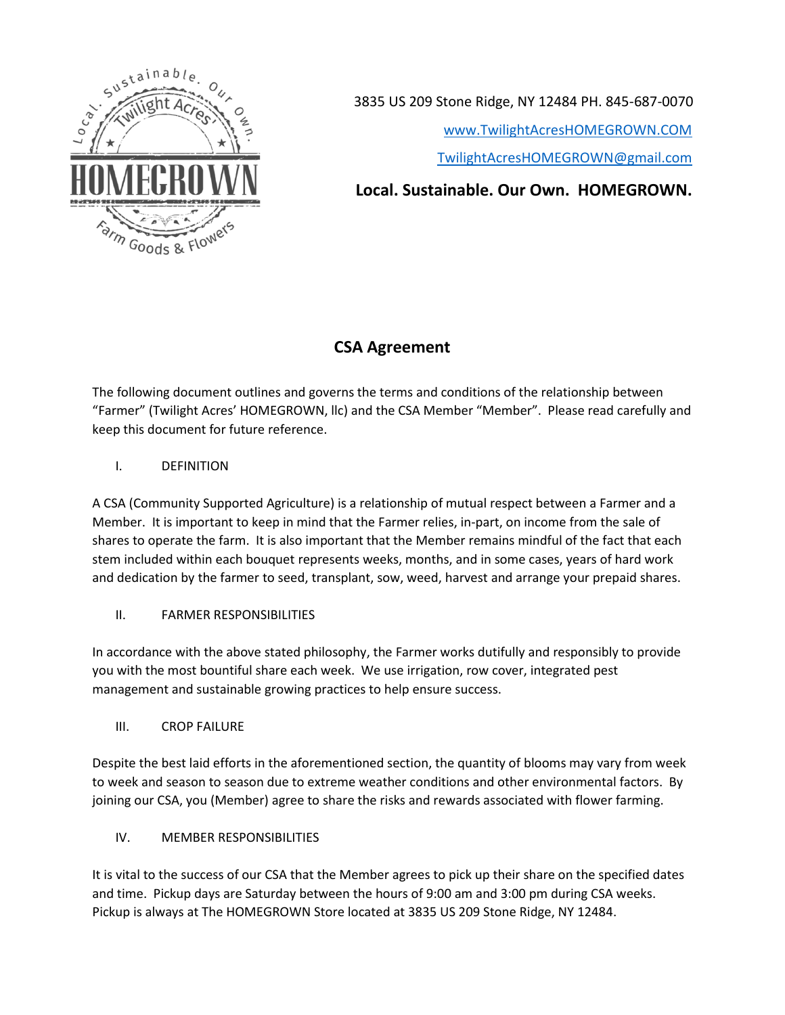

3835 US 209 Stone Ridge, NY 12484 PH. 845-687-0070

[www.TwilightAcresHOMEGROWN.COM](http://www.twilightacreshomegrown.com/)

TwilightAcresHOMEGROWN@gmail.com

**Local. Sustainable. Our Own. HOMEGROWN.** 

# **CSA Agreement**

The following document outlines and governs the terms and conditions of the relationship between "Farmer" (Twilight Acres' HOMEGROWN, llc) and the CSA Member "Member". Please read carefully and keep this document for future reference.

I. DEFINITION

A CSA (Community Supported Agriculture) is a relationship of mutual respect between a Farmer and a Member. It is important to keep in mind that the Farmer relies, in-part, on income from the sale of shares to operate the farm. It is also important that the Member remains mindful of the fact that each stem included within each bouquet represents weeks, months, and in some cases, years of hard work and dedication by the farmer to seed, transplant, sow, weed, harvest and arrange your prepaid shares.

II. FARMER RESPONSIBILITIES

In accordance with the above stated philosophy, the Farmer works dutifully and responsibly to provide you with the most bountiful share each week. We use irrigation, row cover, integrated pest management and sustainable growing practices to help ensure success.

III. CROP FAILURE

Despite the best laid efforts in the aforementioned section, the quantity of blooms may vary from week to week and season to season due to extreme weather conditions and other environmental factors. By joining our CSA, you (Member) agree to share the risks and rewards associated with flower farming.

IV. MEMBER RESPONSIBILITIES

It is vital to the success of our CSA that the Member agrees to pick up their share on the specified dates and time. Pickup days are Saturday between the hours of 9:00 am and 3:00 pm during CSA weeks. Pickup is always at The HOMEGROWN Store located at 3835 US 209 Stone Ridge, NY 12484.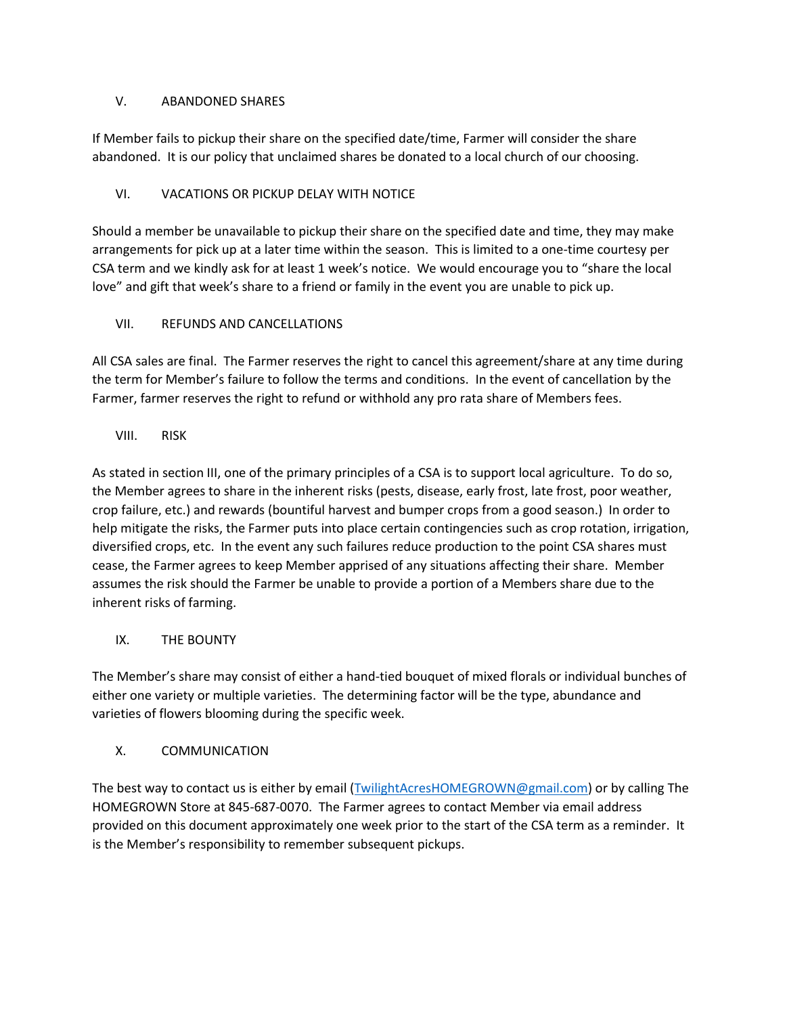#### V. ABANDONED SHARES

If Member fails to pickup their share on the specified date/time, Farmer will consider the share abandoned. It is our policy that unclaimed shares be donated to a local church of our choosing.

## VI. VACATIONS OR PICKUP DELAY WITH NOTICE

Should a member be unavailable to pickup their share on the specified date and time, they may make arrangements for pick up at a later time within the season. This is limited to a one-time courtesy per CSA term and we kindly ask for at least 1 week's notice. We would encourage you to "share the local love" and gift that week's share to a friend or family in the event you are unable to pick up.

## VII. REFUNDS AND CANCELLATIONS

All CSA sales are final. The Farmer reserves the right to cancel this agreement/share at any time during the term for Member's failure to follow the terms and conditions. In the event of cancellation by the Farmer, farmer reserves the right to refund or withhold any pro rata share of Members fees.

VIII. RISK

As stated in section III, one of the primary principles of a CSA is to support local agriculture. To do so, the Member agrees to share in the inherent risks (pests, disease, early frost, late frost, poor weather, crop failure, etc.) and rewards (bountiful harvest and bumper crops from a good season.) In order to help mitigate the risks, the Farmer puts into place certain contingencies such as crop rotation, irrigation, diversified crops, etc. In the event any such failures reduce production to the point CSA shares must cease, the Farmer agrees to keep Member apprised of any situations affecting their share. Member assumes the risk should the Farmer be unable to provide a portion of a Members share due to the inherent risks of farming.

## IX. THE BOUNTY

The Member's share may consist of either a hand-tied bouquet of mixed florals or individual bunches of either one variety or multiple varieties. The determining factor will be the type, abundance and varieties of flowers blooming during the specific week.

## X. COMMUNICATION

The best way to contact us is either by email [\(TwilightAcresHOMEGROWN@gmail.com\)](mailto:TwilightAcresHOMEGROWN@gmail.com) or by calling The HOMEGROWN Store at 845-687-0070. The Farmer agrees to contact Member via email address provided on this document approximately one week prior to the start of the CSA term as a reminder. It is the Member's responsibility to remember subsequent pickups.